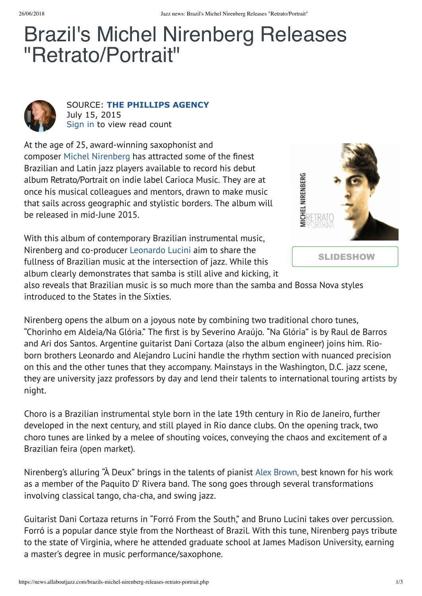## Brazil's Michel Nirenberg Releases "Retrato/Portrait"



SOURCE: **[THE PHILLIPS AGENCY](https://www.jazznearyou.com/the-phillips-agency.php)** July 15, 2015

[Sign in](javascript:void(0);) to view read count

At the age of 25, award-winning saxophonist and composer [Michel Nirenberg](javascript:void(0)) has attracted some of the finest Brazilian and Latin jazz players available to record his debut album Retrato/Portrait on indie label Carioca Music. They are at once his musical colleagues and mentors, drawn to make music that sails across geographic and stylistic borders. The album will be released in mid-June 2015.

With this album of contemporary Brazilian instrumental music, Nirenberg and co-producer [Leonardo Lucini](javascript:void(0)) aim to share the fullness of Brazilian music at the intersection of jazz. While this album clearly demonstrates that samba is still alive and kicking, it



also reveals that Brazilian music is so much more than the samba and Bossa Nova styles introduced to the States in the Sixties.

Nirenberg opens the album on a joyous note by combining two traditional choro tunes, "Chorinho em Aldeia/Na Glória." The first is by Severino Araújo. "Na Glória" is by Raul de Barros and Ari dos Santos. Argentine guitarist Dani Cortaza (also the album engineer) joins him. Rioborn brothers Leonardo and Alejandro Lucini handle the rhythm section with nuanced precision on this and the other tunes that they accompany. Mainstays in the Washington, D.C. jazz scene, they are university jazz professors by day and lend their talents to international touring artists by night.

Choro is a Brazilian instrumental style born in the late 19th century in Rio de Janeiro, further developed in the next century, and still played in Rio dance clubs. On the opening track, two choro tunes are linked by a melee of shouting voices, conveying the chaos and excitement of a Brazilian feira (open market).

Nirenberg's alluring "À Deux" brings in the talents of pianist [Alex Brown,](https://www.google.com/search?as_q=Alex+Brown,) best known for his work as a member of the Paquito D' Rivera band. The song goes through several transformations involving classical tango, cha-cha, and swing jazz.

Guitarist Dani Cortaza returns in "Forró From the South," and Bruno Lucini takes over percussion. Forró is a popular dance style from the Northeast of Brazil. With this tune, Nirenberg pays tribute to the state of Virginia, where he attended graduate school at James Madison University, earning a master's degree in music performance/saxophone.